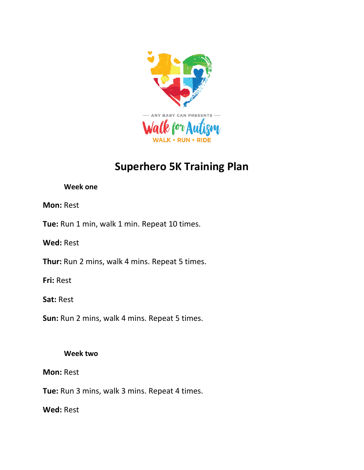

# **Superhero 5K Training Plan**

## **Week one**

# **Mon:** Rest

**Tue:** Run 1 min, walk 1 min. Repeat 10 times.

**Wed:** Rest

**Thur:** Run 2 mins, walk 4 mins. Repeat 5 times.

**Fri:** Rest

**Sat:** Rest

**Sun:** Run 2 mins, walk 4 mins. Repeat 5 times.

# **Week two**

# **Mon:** Rest

**Tue:** Run 3 mins, walk 3 mins. Repeat 4 times.

**Wed:** Rest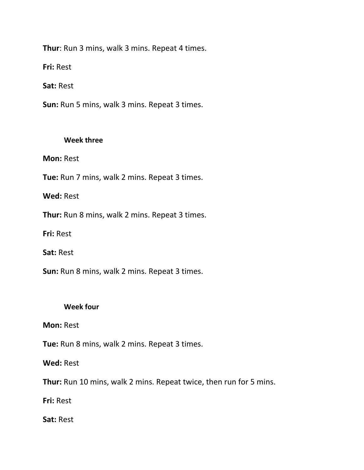**Thur**: Run 3 mins, walk 3 mins. Repeat 4 times.

**Fri:** Rest

**Sat:** Rest

**Sun:** Run 5 mins, walk 3 mins. Repeat 3 times.

#### **Week three**

**Mon:** Rest

**Tue:** Run 7 mins, walk 2 mins. Repeat 3 times.

**Wed:** Rest

**Thur:** Run 8 mins, walk 2 mins. Repeat 3 times.

**Fri:** Rest

**Sat:** Rest

**Sun:** Run 8 mins, walk 2 mins. Repeat 3 times.

### **Week four**

**Mon:** Rest

**Tue:** Run 8 mins, walk 2 mins. Repeat 3 times.

**Wed:** Rest

**Thur:** Run 10 mins, walk 2 mins. Repeat twice, then run for 5 mins.

**Fri:** Rest

**Sat:** Rest